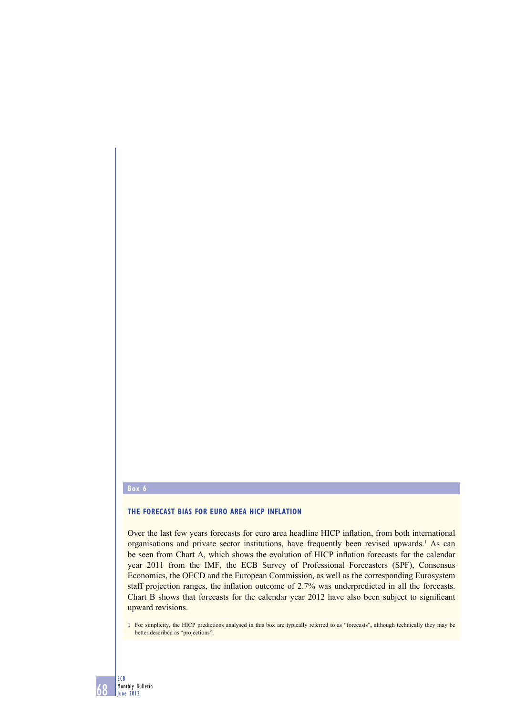#### **Box 6**

## **THE FORECAST BIAS FOR EURO AREA HICP INFLATION**

Over the last few years forecasts for euro area headline HICP inflation, from both international organisations and private sector institutions, have frequently been revised upwards.<sup>1</sup> As can be seen from Chart A, which shows the evolution of HICP inflation forecasts for the calendar year 2011 from the IMF, the ECB Survey of Professional Forecasters (SPF), Consensus Economics, the OECD and the European Commission, as well as the corresponding Eurosystem staff projection ranges, the inflation outcome of 2.7% was underpredicted in all the forecasts. Chart B shows that forecasts for the calendar year 2012 have also been subject to significant upward revisions.

1 For simplicity, the HICP predictions analysed in this box are typically referred to as "forecasts", although technically they may be better described as "projections".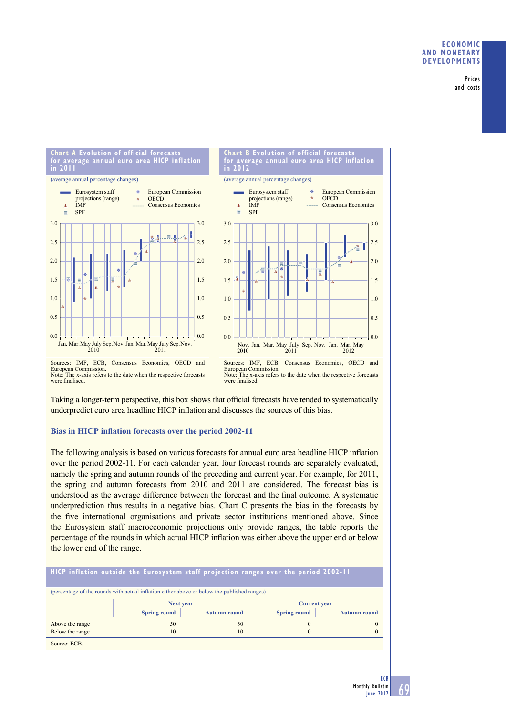Prices and costs

#### **Chart A Evolution of official forecasts for average annual euro area HICP inflation in 2011**





European Commission. Note: The x-axis refers to the date when the respective forecasts were finalised.

Taking a longer-term perspective, this box shows that official forecasts have tended to systematically underpredict euro area headline HICP inflation and discusses the sources of this bias.

# **Bias in HICP inflation forecasts over the period 2002-11**

The following analysis is based on various forecasts for annual euro area headline HICP inflation over the period 2002-11. For each calendar year, four forecast rounds are separately evaluated, namely the spring and autumn rounds of the preceding and current year. For example, for 2011, the spring and autumn forecasts from 2010 and 2011 are considered. The forecast bias is understood as the average difference between the forecast and the final outcome. A systematic underprediction thus results in a negative bias. Chart C presents the bias in the forecasts by the five international organisations and private sector institutions mentioned above. Since the Eurosystem staff macroeconomic projections only provide ranges, the table reports the percentage of the rounds in which actual HICP inflation was either above the upper end or below the lower end of the range.

|                 | HICP inflation outside the Eurosystem staff projection ranges over the period 2002-11       |                     |                     |                     |
|-----------------|---------------------------------------------------------------------------------------------|---------------------|---------------------|---------------------|
|                 | (percentage of the rounds with actual inflation either above or below the published ranges) |                     |                     |                     |
|                 | <b>Next year</b>                                                                            |                     | <b>Current year</b> |                     |
|                 | <b>Spring round</b>                                                                         | <b>Autumn round</b> | <b>Spring round</b> | <b>Autumn round</b> |
| Above the range | 50                                                                                          | 30                  | $\theta$            | $\Omega$            |
|                 |                                                                                             |                     |                     |                     |
| Below the range | 10                                                                                          | 10                  | $\theta$            |                     |

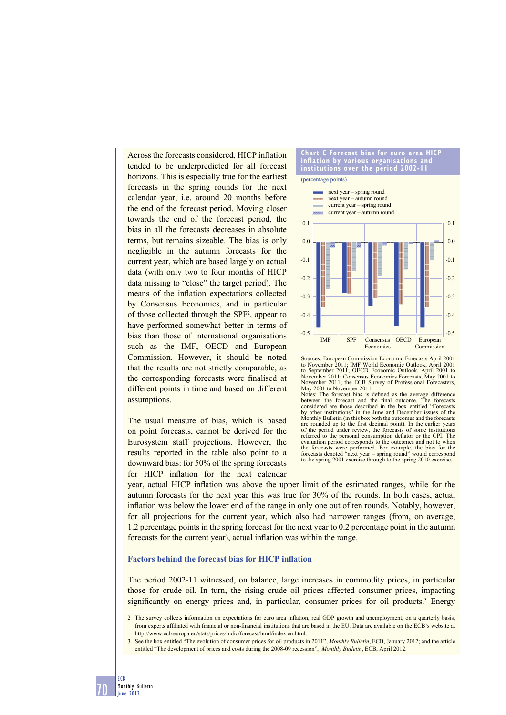Across the forecasts considered, HICP inflation tended to be underpredicted for all forecast horizons. This is especially true for the earliest forecasts in the spring rounds for the next calendar year, i.e. around 20 months before the end of the forecast period. Moving closer towards the end of the forecast period, the bias in all the forecasts decreases in absolute terms, but remains sizeable. The bias is only negligible in the autumn forecasts for the current year, which are based largely on actual data (with only two to four months of HICP data missing to "close" the target period). The means of the inflation expectations collected by Consensus Economics, and in particular of those collected through the SPF<sup>2</sup>, appear to have performed somewhat better in terms of bias than those of international organisations such as the IMF, OECD and European Commission. However, it should be noted that the results are not strictly comparable, as the corresponding forecasts were finalised at different points in time and based on different assumptions.

The usual measure of bias, which is based on point forecasts, cannot be derived for the Eurosystem staff projections. However, the results reported in the table also point to a downward bias: for 50% of the spring forecasts for HICP inflation for the next calendar

#### **Chart C Forecast bias for euro area HICP inflation by various organisations and institutions over the period 2002-11**



Sources: European Commission Economic Forecasts April 2001 to November 2011; IMF World Economic Outlook, April 2001 to September 2011; OECD Economic Outlook, April 2001 to November 2011; Consensus Economics Forecasts, May 2001 to November 2011; the ECB Survey of Professional Forecasters, May 2001 to November 2011.

Notes: The forecast bias is defined as the average difference<br>between the forecast and the final outcome. The forecasts<br>considered are those described in the box entitled "Forecasts by other institutions" in the June and December issues of the Monthly Bulletin (in this box both the outcomes and the forecasts are rounded up to the first decimal point). In the earlier years of the period under review, the forecasts of some institutions referred to the personal consumption deflator or the CPI. The evaluation period corresponds to the outcomes and not to when the forecasts were performed. For example, the bias for the forecasts denoted "next year – spring round" would correspond to the spring 2001 exercise through to the spring 2010 exercise.

year, actual HICP inflation was above the upper limit of the estimated ranges, while for the autumn forecasts for the next year this was true for 30% of the rounds. In both cases, actual inflation was below the lower end of the range in only one out of ten rounds. Notably, however, for all projections for the current year, which also had narrower ranges (from, on average, 1.2 percentage points in the spring forecast for the next year to 0.2 percentage point in the autumn forecasts for the current year), actual inflation was within the range.

#### **Factors behind the forecast bias for HICP inflation**

The period 2002-11 witnessed, on balance, large increases in commodity prices, in particular those for crude oil. In turn, the rising crude oil prices affected consumer prices, impacting significantly on energy prices and, in particular, consumer prices for oil products.<sup>3</sup> Energy

<sup>2</sup> The survey collects information on expectations for euro area inflation, real GDP growth and unemployment, on a quarterly basis, from experts affiliated with financial or non-financial institutions that are based in the EU. Data are available on the ECB's website at http://www.ecb.europa.eu/stats/prices/indic/forecast/html/index.en.html.

<sup>3</sup> See the box entitled "The evolution of consumer prices for oil products in 2011", *Monthly Bulletin*, ECB, January 2012; and the article entitled "The development of prices and costs during the 2008-09 recession", *Monthly Bulletin*, ECB, April 2012.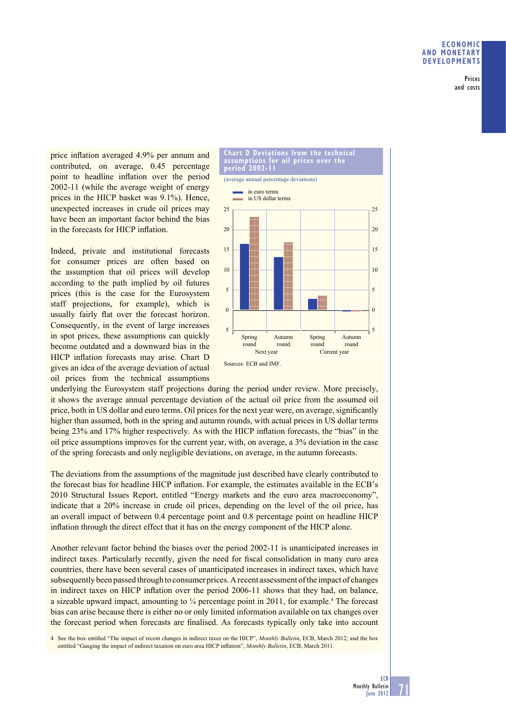Prices and costs

price inflation averaged 4.9% per annum and contributed, on average, 0.45 percentage point to headline inflation over the period 2002-11 (while the average weight of energy prices in the HICP basket was 9.1%). Hence, unexpected increases in crude oil prices may have been an important factor behind the bias in the forecasts for HICP inflation.

Indeed, private and institutional forecasts for consumer prices are often based on the assumption that oil prices will develop according to the path implied by oil futures prices (this is the case for the Eurosystem staff projections, for example), which is usually fairly flat over the forecast horizon. Consequently, in the event of large increases in spot prices, these assumptions can quickly become outdated and a downward bias in the HICP inflation forecasts may arise. Chart D gives an idea of the average deviation of actual oil prices from the technical assumptions



underlying the Eurosystem staff projections during the period under review. More precisely, it shows the average annual percentage deviation of the actual oil price from the assumed oil price, both in US dollar and euro terms. Oil prices for the next year were, on average, significantly higher than assumed, both in the spring and autumn rounds, with actual prices in US dollar terms being 23% and 17% higher respectively. As with the HICP inflation forecasts, the "bias" in the oil price assumptions improves for the current year, with, on average, a 3% deviation in the case of the spring forecasts and only negligible deviations, on average, in the autumn forecasts.

The deviations from the assumptions of the magnitude just described have clearly contributed to the forecast bias for headline HICP inflation. For example, the estimates available in the ECB's 2010 Structural Issues Report, entitled "Energy markets and the euro area macroeconomy", indicate that a 20% increase in crude oil prices, depending on the level of the oil price, has an overall impact of between 0.4 percentage point and 0.8 percentage point on headline HICP inflation through the direct effect that it has on the energy component of the HICP alone.

Another relevant factor behind the biases over the period 2002-11 is unanticipated increases in indirect taxes. Particularly recently, given the need for fiscal consolidation in many euro area countries, there have been several cases of unanticipated increases in indirect taxes, which have subsequently been passed through to consumer prices. A recent assessment of the impact of changes in indirect taxes on HICP inflation over the period 2006-11 shows that they had, on balance, a sizeable upward impact, amounting to  $\frac{1}{4}$  percentage point in 2011, for example.<sup>4</sup> The forecast bias can arise because there is either no or only limited information available on tax changes over the forecast period when forecasts are finalised. As forecasts typically only take into account

4 See the box entitled "The impact of recent changes in indirect taxes on the HICP", *Monthly Bulletin*, ECB, March 2012; and the box entitled "Gauging the impact of indirect taxation on euro area HICP inflation", *Monthly Bulletin*, ECB, March 2011.